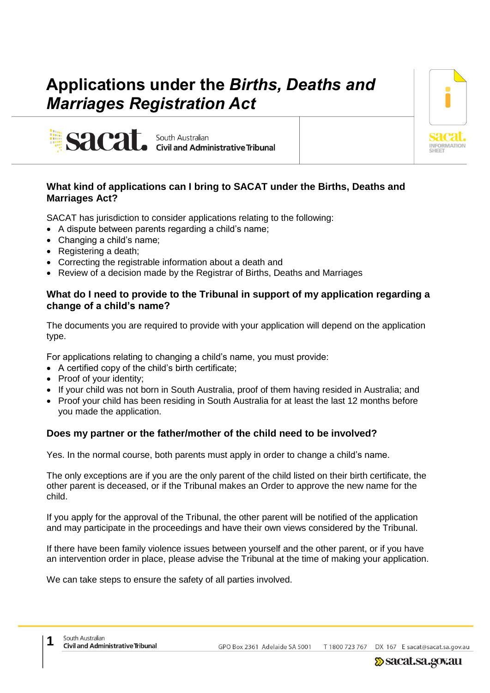# **Applications under the** *Births, Deaths and Marriages Registration Act*

**Civil and Administrative Tribunal** 



# **What kind of applications can I bring to SACAT under the Births, Deaths and Marriages Act?**

SACAT has jurisdiction to consider applications relating to the following:

South Australian

- A dispute between parents regarding a child's name;
- Changing a child's name;

sacat

- Registering a death;
- Correcting the registrable information about a death and
- Review of a decision made by the Registrar of Births, Deaths and Marriages

# **What do I need to provide to the Tribunal in support of my application regarding a change of a child's name?**

The documents you are required to provide with your application will depend on the application type.

For applications relating to changing a child's name, you must provide:

- A certified copy of the child's birth certificate;
- Proof of your identity;
- If your child was not born in South Australia, proof of them having resided in Australia; and
- Proof your child has been residing in South Australia for at least the last 12 months before you made the application.

## **Does my partner or the father/mother of the child need to be involved?**

Yes. In the normal course, both parents must apply in order to change a child's name.

The only exceptions are if you are the only parent of the child listed on their birth certificate, the other parent is deceased, or if the Tribunal makes an Order to approve the new name for the child.

If you apply for the approval of the Tribunal, the other parent will be notified of the application and may participate in the proceedings and have their own views considered by the Tribunal.

If there have been family violence issues between yourself and the other parent, or if you have an intervention order in place, please advise the Tribunal at the time of making your application.

We can take steps to ensure the safety of all parties involved.

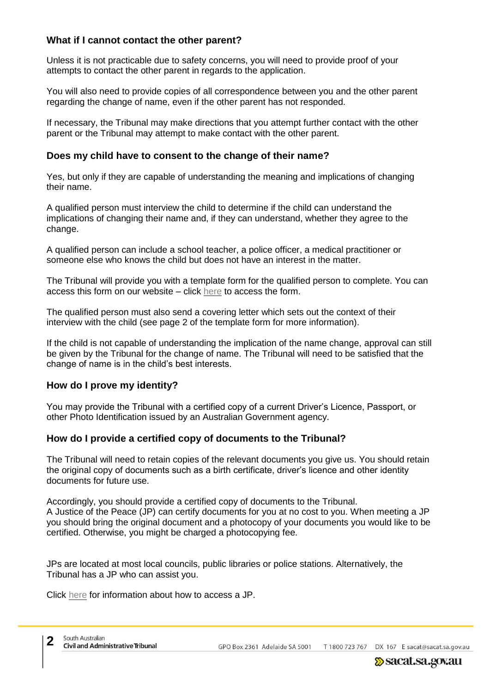# **What if I cannot contact the other parent?**

Unless it is not practicable due to safety concerns, you will need to provide proof of your attempts to contact the other parent in regards to the application.

You will also need to provide copies of all correspondence between you and the other parent regarding the change of name, even if the other parent has not responded.

If necessary, the Tribunal may make directions that you attempt further contact with the other parent or the Tribunal may attempt to make contact with the other parent.

#### **Does my child have to consent to the change of their name?**

Yes, but only if they are capable of understanding the meaning and implications of changing their name.

A qualified person must interview the child to determine if the child can understand the implications of changing their name and, if they can understand, whether they agree to the change.

A qualified person can include a school teacher, a police officer, a medical practitioner or someone else who knows the child but does not have an interest in the matter.

The Tribunal will provide you with a template form for the qualified person to complete. You can access this form on our website – click [here](http://www.sacat.sa.gov.au/upload/Child%20consent%20form%20for%20BDM%20apps_21082018.pdf) to access the form.

The qualified person must also send a covering letter which sets out the context of their interview with the child (see page 2 of the template form for more information).

If the child is not capable of understanding the implication of the name change, approval can still be given by the Tribunal for the change of name. The Tribunal will need to be satisfied that the change of name is in the child's best interests.

## **How do I prove my identity?**

You may provide the Tribunal with a certified copy of a current Driver's Licence, Passport, or other Photo Identification issued by an Australian Government agency.

## **How do I provide a certified copy of documents to the Tribunal?**

The Tribunal will need to retain copies of the relevant documents you give us. You should retain the original copy of documents such as a birth certificate, driver's licence and other identity documents for future use.

Accordingly, you should provide a certified copy of documents to the Tribunal. A Justice of the Peace (JP) can certify documents for you at no cost to you. When meeting a JP you should bring the original document and a photocopy of your documents you would like to be certified. Otherwise, you might be charged a photocopying fee.

JPs are located at most local councils, public libraries or police stations. Alternatively, the Tribunal has a JP who can assist you.

Click [here](https://www.sa.gov.au/topics/rights-and-law/rights-and-responsibilities/justices-of-the-peace/find-a-jp) for information about how to access a JP.

T 1800 723 767 GPO Box 2361 Adelaide SA 5001 DX 167 E sacat@sacat.sa.gov.au

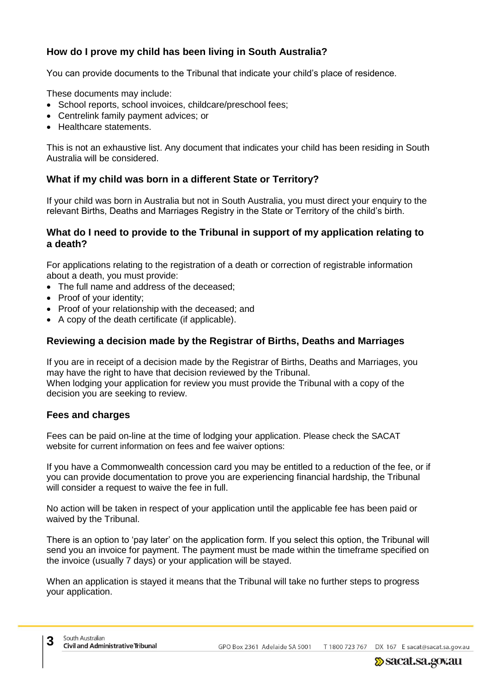# **How do I prove my child has been living in South Australia?**

You can provide documents to the Tribunal that indicate your child's place of residence.

These documents may include:

- School reports, school invoices, childcare/preschool fees;
- Centrelink family payment advices; or
- Healthcare statements.

This is not an exhaustive list. Any document that indicates your child has been residing in South Australia will be considered.

# **What if my child was born in a different State or Territory?**

If your child was born in Australia but not in South Australia, you must direct your enquiry to the relevant Births, Deaths and Marriages Registry in the State or Territory of the child's birth.

#### **What do I need to provide to the Tribunal in support of my application relating to a death?**

For applications relating to the registration of a death or correction of registrable information about a death, you must provide:

- The full name and address of the deceased;
- Proof of your identity;
- Proof of your relationship with the deceased; and
- A copy of the death certificate (if applicable).

# **Reviewing a decision made by the Registrar of Births, Deaths and Marriages**

If you are in receipt of a decision made by the Registrar of Births, Deaths and Marriages, you may have the right to have that decision reviewed by the Tribunal. When lodging your application for review you must provide the Tribunal with a copy of the decision you are seeking to review.

## **Fees and charges**

Fees can be paid on-line at the time of lodging your application. Please check the SACAT website for current information on fees and fee waiver options:

If you have a Commonwealth concession card you may be entitled to a reduction of the fee, or if you can provide documentation to prove you are experiencing financial hardship, the Tribunal will consider a request to waive the fee in full.

No action will be taken in respect of your application until the applicable fee has been paid or waived by the Tribunal.

There is an option to 'pay later' on the application form. If you select this option, the Tribunal will send you an invoice for payment. The payment must be made within the timeframe specified on the invoice (usually 7 days) or your application will be stayed.

When an application is stayed it means that the Tribunal will take no further steps to progress your application.